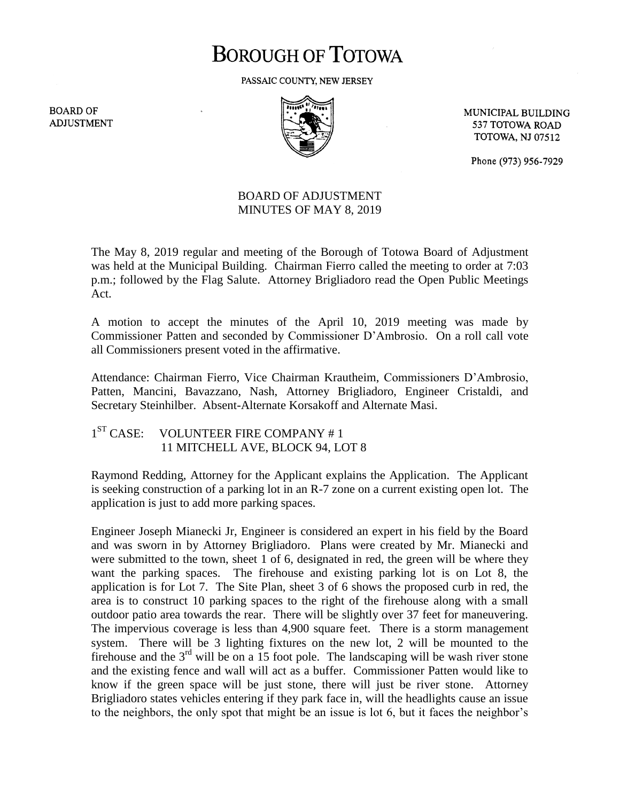# **BOROUGH OF TOTOWA**

PASSAIC COUNTY, NEW JERSEY

**BOARD OF ADJUSTMENT** 



MUNICIPAL BUILDING 537 TOTOWA ROAD **TOTOWA, NJ 07512** 

Phone (973) 956-7929

## BOARD OF ADJUSTMENT MINUTES OF MAY 8, 2019

The May 8, 2019 regular and meeting of the Borough of Totowa Board of Adjustment was held at the Municipal Building. Chairman Fierro called the meeting to order at 7:03 p.m.; followed by the Flag Salute. Attorney Brigliadoro read the Open Public Meetings Act.

A motion to accept the minutes of the April 10, 2019 meeting was made by Commissioner Patten and seconded by Commissioner D'Ambrosio. On a roll call vote all Commissioners present voted in the affirmative.

Attendance: Chairman Fierro, Vice Chairman Krautheim, Commissioners D'Ambrosio, Patten, Mancini, Bavazzano, Nash, Attorney Brigliadoro, Engineer Cristaldi, and Secretary Steinhilber. Absent-Alternate Korsakoff and Alternate Masi.

 $1<sup>ST</sup> CASE:$ VOLUNTEER FIRE COMPANY #1 11 MITCHELL AVE, BLOCK 94, LOT 8

Raymond Redding, Attorney for the Applicant explains the Application. The Applicant is seeking construction of a parking lot in an R-7 zone on a current existing open lot. The application is just to add more parking spaces.

Engineer Joseph Mianecki Jr, Engineer is considered an expert in his field by the Board and was sworn in by Attorney Brigliadoro. Plans were created by Mr. Mianecki and were submitted to the town, sheet 1 of 6, designated in red, the green will be where they want the parking spaces. The firehouse and existing parking lot is on Lot 8, the application is for Lot 7. The Site Plan, sheet 3 of 6 shows the proposed curb in red, the area is to construct 10 parking spaces to the right of the firehouse along with a small outdoor patio area towards the rear. There will be slightly over 37 feet for maneuvering. The impervious coverage is less than 4,900 square feet. There is a storm management system. There will be 3 lighting fixtures on the new lot, 2 will be mounted to the firehouse and the  $3<sup>rd</sup>$  will be on a 15 foot pole. The landscaping will be wash river stone and the existing fence and wall will act as a buffer. Commissioner Patten would like to know if the green space will be just stone, there will just be river stone. Attorney Brigliadoro states vehicles entering if they park face in, will the headlights cause an issue to the neighbors, the only spot that might be an issue is lot 6, but it faces the neighbor's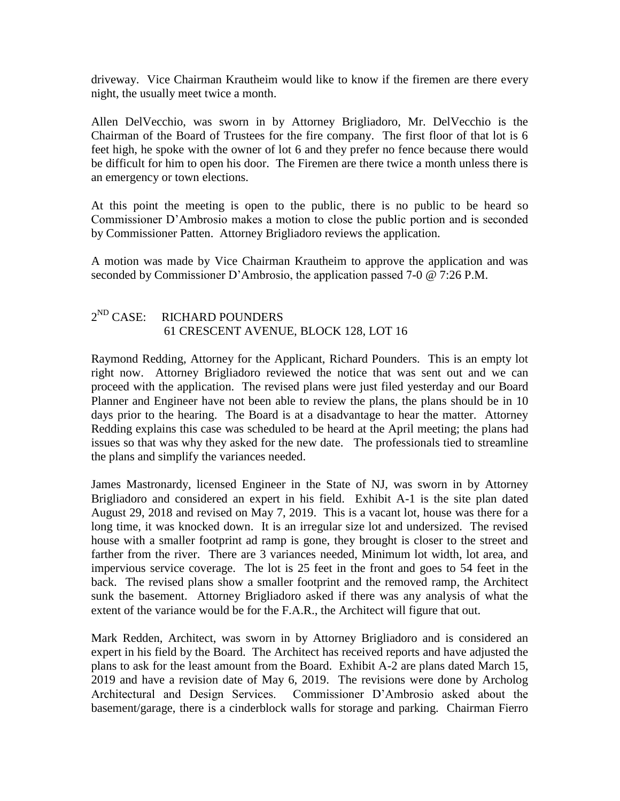driveway. Vice Chairman Krautheim would like to know if the firemen are there every night, the usually meet twice a month.

Allen DelVecchio, was sworn in by Attorney Brigliadoro, Mr. DelVecchio is the Chairman of the Board of Trustees for the fire company. The first floor of that lot is 6 feet high, he spoke with the owner of lot 6 and they prefer no fence because there would be difficult for him to open his door. The Firemen are there twice a month unless there is an emergency or town elections.

At this point the meeting is open to the public, there is no public to be heard so Commissioner D'Ambrosio makes a motion to close the public portion and is seconded by Commissioner Patten. Attorney Brigliadoro reviews the application.

A motion was made by Vice Chairman Krautheim to approve the application and was seconded by Commissioner D'Ambrosio, the application passed 7-0 @ 7:26 P.M.

#### $2^{ND}$  CASE: RICHARD POUNDERS 61 CRESCENT AVENUE, BLOCK 128, LOT 16

Raymond Redding, Attorney for the Applicant, Richard Pounders. This is an empty lot right now. Attorney Brigliadoro reviewed the notice that was sent out and we can proceed with the application. The revised plans were just filed yesterday and our Board Planner and Engineer have not been able to review the plans, the plans should be in 10 days prior to the hearing. The Board is at a disadvantage to hear the matter. Attorney Redding explains this case was scheduled to be heard at the April meeting; the plans had issues so that was why they asked for the new date. The professionals tied to streamline the plans and simplify the variances needed.

James Mastronardy, licensed Engineer in the State of NJ, was sworn in by Attorney Brigliadoro and considered an expert in his field. Exhibit A-1 is the site plan dated August 29, 2018 and revised on May 7, 2019. This is a vacant lot, house was there for a long time, it was knocked down. It is an irregular size lot and undersized. The revised house with a smaller footprint ad ramp is gone, they brought is closer to the street and farther from the river. There are 3 variances needed, Minimum lot width, lot area, and impervious service coverage. The lot is 25 feet in the front and goes to 54 feet in the back. The revised plans show a smaller footprint and the removed ramp, the Architect sunk the basement. Attorney Brigliadoro asked if there was any analysis of what the extent of the variance would be for the F.A.R., the Architect will figure that out.

Mark Redden, Architect, was sworn in by Attorney Brigliadoro and is considered an expert in his field by the Board. The Architect has received reports and have adjusted the plans to ask for the least amount from the Board. Exhibit A-2 are plans dated March 15, 2019 and have a revision date of May 6, 2019. The revisions were done by Archolog Architectural and Design Services. Commissioner D'Ambrosio asked about the basement/garage, there is a cinderblock walls for storage and parking. Chairman Fierro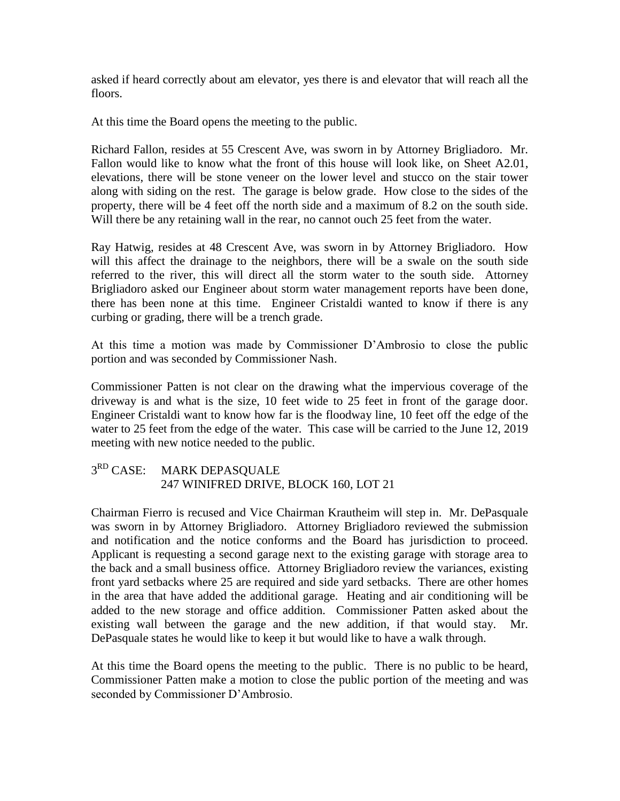asked if heard correctly about am elevator, yes there is and elevator that will reach all the floors.

At this time the Board opens the meeting to the public.

Richard Fallon, resides at 55 Crescent Ave, was sworn in by Attorney Brigliadoro. Mr. Fallon would like to know what the front of this house will look like, on Sheet A2.01, elevations, there will be stone veneer on the lower level and stucco on the stair tower along with siding on the rest. The garage is below grade. How close to the sides of the property, there will be 4 feet off the north side and a maximum of 8.2 on the south side. Will there be any retaining wall in the rear, no cannot ouch 25 feet from the water.

Ray Hatwig, resides at 48 Crescent Ave, was sworn in by Attorney Brigliadoro. How will this affect the drainage to the neighbors, there will be a swale on the south side referred to the river, this will direct all the storm water to the south side. Attorney Brigliadoro asked our Engineer about storm water management reports have been done, there has been none at this time. Engineer Cristaldi wanted to know if there is any curbing or grading, there will be a trench grade.

At this time a motion was made by Commissioner D'Ambrosio to close the public portion and was seconded by Commissioner Nash.

Commissioner Patten is not clear on the drawing what the impervious coverage of the driveway is and what is the size, 10 feet wide to 25 feet in front of the garage door. Engineer Cristaldi want to know how far is the floodway line, 10 feet off the edge of the water to 25 feet from the edge of the water. This case will be carried to the June 12, 2019 meeting with new notice needed to the public.

#### $3^{RD}$  CASE: MARK DEPASQUALE 247 WINIFRED DRIVE, BLOCK 160, LOT 21

Chairman Fierro is recused and Vice Chairman Krautheim will step in. Mr. DePasquale was sworn in by Attorney Brigliadoro. Attorney Brigliadoro reviewed the submission and notification and the notice conforms and the Board has jurisdiction to proceed. Applicant is requesting a second garage next to the existing garage with storage area to the back and a small business office. Attorney Brigliadoro review the variances, existing front yard setbacks where 25 are required and side yard setbacks. There are other homes in the area that have added the additional garage. Heating and air conditioning will be added to the new storage and office addition. Commissioner Patten asked about the existing wall between the garage and the new addition, if that would stay. Mr. DePasquale states he would like to keep it but would like to have a walk through.

At this time the Board opens the meeting to the public. There is no public to be heard, Commissioner Patten make a motion to close the public portion of the meeting and was seconded by Commissioner D'Ambrosio.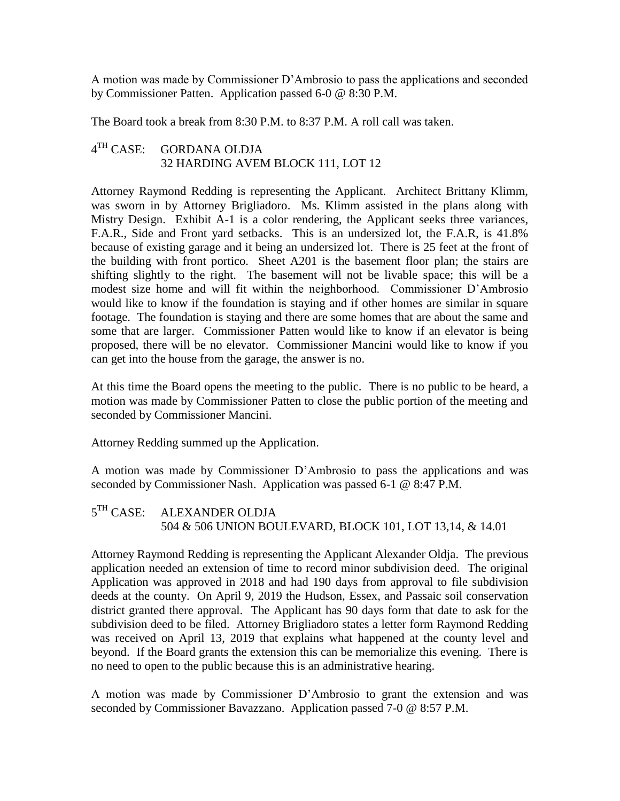A motion was made by Commissioner D'Ambrosio to pass the applications and seconded by Commissioner Patten. Application passed 6-0 @ 8:30 P.M.

The Board took a break from 8:30 P.M. to 8:37 P.M. A roll call was taken.

#### $4^{TH}$  CASE: GORDANA OLDJA 32 HARDING AVEM BLOCK 111, LOT 12

Attorney Raymond Redding is representing the Applicant. Architect Brittany Klimm, was sworn in by Attorney Brigliadoro. Ms. Klimm assisted in the plans along with Mistry Design. Exhibit A-1 is a color rendering, the Applicant seeks three variances, F.A.R., Side and Front yard setbacks. This is an undersized lot, the F.A.R, is 41.8% because of existing garage and it being an undersized lot. There is 25 feet at the front of the building with front portico. Sheet A201 is the basement floor plan; the stairs are shifting slightly to the right. The basement will not be livable space; this will be a modest size home and will fit within the neighborhood. Commissioner D'Ambrosio would like to know if the foundation is staying and if other homes are similar in square footage. The foundation is staying and there are some homes that are about the same and some that are larger. Commissioner Patten would like to know if an elevator is being proposed, there will be no elevator. Commissioner Mancini would like to know if you can get into the house from the garage, the answer is no.

At this time the Board opens the meeting to the public. There is no public to be heard, a motion was made by Commissioner Patten to close the public portion of the meeting and seconded by Commissioner Mancini.

Attorney Redding summed up the Application.

A motion was made by Commissioner D'Ambrosio to pass the applications and was seconded by Commissioner Nash. Application was passed 6-1 @ 8:47 P.M.

5<sup>TH</sup> CASE: ALEXANDER OLDJA 504 & 506 UNION BOULEVARD, BLOCK 101, LOT 13,14, & 14.01

Attorney Raymond Redding is representing the Applicant Alexander Oldja. The previous application needed an extension of time to record minor subdivision deed. The original Application was approved in 2018 and had 190 days from approval to file subdivision deeds at the county. On April 9, 2019 the Hudson, Essex, and Passaic soil conservation district granted there approval. The Applicant has 90 days form that date to ask for the subdivision deed to be filed. Attorney Brigliadoro states a letter form Raymond Redding was received on April 13, 2019 that explains what happened at the county level and beyond. If the Board grants the extension this can be memorialize this evening. There is no need to open to the public because this is an administrative hearing.

A motion was made by Commissioner D'Ambrosio to grant the extension and was seconded by Commissioner Bavazzano. Application passed 7-0 @ 8:57 P.M.